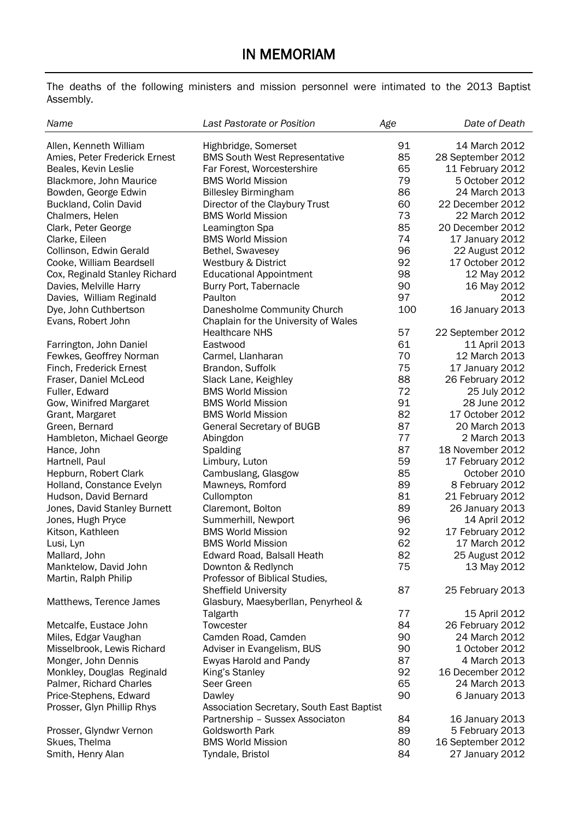The deaths of the following ministers and mission personnel were intimated to the 2013 Baptist Assembly.

| Name                                                 | Last Pastorate or Position                                                   | Age      | Date of Death                  |
|------------------------------------------------------|------------------------------------------------------------------------------|----------|--------------------------------|
| Allen, Kenneth William                               | Highbridge, Somerset                                                         | 91       | 14 March 2012                  |
| Amies. Peter Frederick Ernest                        | <b>BMS South West Representative</b>                                         | 85       | 28 September 2012              |
| Beales, Kevin Leslie                                 | Far Forest. Worcestershire                                                   | 65       | 11 February 2012               |
| Blackmore, John Maurice                              | <b>BMS World Mission</b>                                                     | 79       | 5 October 2012                 |
| Bowden, George Edwin                                 | <b>Billesley Birmingham</b>                                                  | 86       | 24 March 2013                  |
| Buckland, Colin David                                | Director of the Claybury Trust                                               | 60       | 22 December 2012               |
| Chalmers, Helen                                      | <b>BMS World Mission</b>                                                     | 73       | 22 March 2012                  |
| Clark, Peter George                                  | Leamington Spa                                                               | 85       | 20 December 2012               |
| Clarke, Eileen                                       | <b>BMS World Mission</b>                                                     | 74       | 17 January 2012                |
| Collinson, Edwin Gerald                              | Bethel, Swavesey                                                             | 96       | 22 August 2012                 |
| Cooke, William Beardsell                             | Westbury & District                                                          | 92       | 17 October 2012                |
| Cox, Reginald Stanley Richard                        | <b>Educational Appointment</b>                                               | 98       | 12 May 2012                    |
| Davies, Melville Harry                               | Burry Port, Tabernacle                                                       | 90       | 16 May 2012                    |
| Davies, William Reginald                             | Paulton                                                                      | 97       | 2012                           |
| Dye, John Cuthbertson                                | Danesholme Community Church                                                  | 100      | 16 January 2013                |
| Evans, Robert John                                   | Chaplain for the University of Wales                                         |          |                                |
|                                                      | <b>Healthcare NHS</b>                                                        | 57       | 22 September 2012              |
| Farrington, John Daniel                              | Eastwood                                                                     | 61       | 11 April 2013                  |
| Fewkes, Geoffrey Norman                              | Carmel, Llanharan                                                            | 70       | 12 March 2013                  |
| Finch, Frederick Ernest                              | Brandon, Suffolk                                                             | 75       | 17 January 2012                |
| Fraser, Daniel McLeod                                | Slack Lane, Keighley                                                         | 88       | 26 February 2012               |
| Fuller, Edward                                       | <b>BMS World Mission</b>                                                     | 72       | 25 July 2012                   |
| Gow, Winifred Margaret                               | <b>BMS World Mission</b>                                                     | 91       | 28 June 2012                   |
| Grant, Margaret                                      | <b>BMS World Mission</b>                                                     | 82       | 17 October 2012                |
| Green, Bernard                                       | General Secretary of BUGB                                                    | 87       | 20 March 2013                  |
| Hambleton, Michael George                            | Abingdon                                                                     | 77       | 2 March 2013                   |
| Hance, John                                          | Spalding                                                                     | 87       | 18 November 2012               |
| Hartnell, Paul                                       | Limbury, Luton                                                               | 59       | 17 February 2012               |
| Hepburn, Robert Clark                                | Cambuslang, Glasgow                                                          | 85       | October 2010                   |
| Holland, Constance Evelyn                            | Mawneys, Romford                                                             | 89       | 8 February 2012                |
| Hudson, David Bernard                                | Cullompton                                                                   | 81       | 21 February 2012               |
| Jones, David Stanley Burnett                         | Claremont, Bolton                                                            | 89       | 26 January 2013                |
| Jones, Hugh Pryce                                    | Summerhill, Newport                                                          | 96       | 14 April 2012                  |
| Kitson, Kathleen                                     | <b>BMS World Mission</b>                                                     | 92       | 17 February 2012               |
| Lusi, Lyn                                            | <b>BMS World Mission</b>                                                     | 62       | 17 March 2012                  |
| Mallard, John                                        | Edward Road, Balsall Heath                                                   | 82       | 25 August 2012                 |
| Manktelow, David John                                | Downton & Redlynch                                                           | 75       | 13 May 2012                    |
| Martin, Ralph Philip                                 | Professor of Biblical Studies,                                               |          |                                |
|                                                      | <b>Sheffield University</b>                                                  | 87       | 25 February 2013               |
| Matthews, Terence James                              | Glasbury, Maesyberllan, Penyrheol &                                          |          |                                |
|                                                      | Talgarth                                                                     | 77       | 15 April 2012                  |
| Metcalfe, Eustace John                               | Towcester                                                                    | 84       | 26 February 2012               |
| Miles, Edgar Vaughan                                 | Camden Road, Camden                                                          | 90       | 24 March 2012                  |
| Misselbrook, Lewis Richard                           | Adviser in Evangelism, BUS<br>Ewyas Harold and Pandy                         | 90<br>87 | 1 October 2012<br>4 March 2013 |
| Monger, John Dennis                                  | King's Stanley                                                               | 92       | 16 December 2012               |
| Monkley, Douglas Reginald<br>Palmer, Richard Charles | Seer Green                                                                   | 65       | 24 March 2013                  |
| Price-Stephens, Edward                               | Dawley                                                                       | 90       | 6 January 2013                 |
|                                                      |                                                                              |          |                                |
| Prosser, Glyn Phillip Rhys                           | Association Secretary, South East Baptist<br>Partnership - Sussex Associaton | 84       | 16 January 2013                |
| Prosser, Glyndwr Vernon                              | Goldsworth Park                                                              | 89       | 5 February 2013                |
| Skues, Thelma                                        | <b>BMS World Mission</b>                                                     | 80       | 16 September 2012              |
| Smith, Henry Alan                                    | Tyndale, Bristol                                                             | 84       | 27 January 2012                |
|                                                      |                                                                              |          |                                |